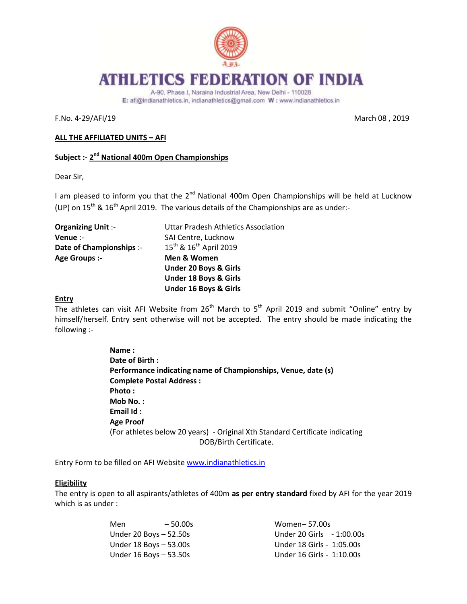

# **ATHLETICS FEDERATION OF INDIA**

A-90, Phase I, Naraina Industrial Area, New Delhi - 110028 E: afi@indianathletics.in, indianathletics@gmail.com W: www.indianathletics.in

F.No. 4-29/AFI/19 March 08 , 2019

### **ALL THE AFFILIATED UNITS – AFI**

# **Subject :- 2 nd National 400m Open Championships**

Dear Sir,

I am pleased to inform you that the  $2^{nd}$  National 400m Open Championships will be held at Lucknow (UP) on  $15^{th}$  &  $16^{th}$  April 2019. The various details of the Championships are as under:-

| <b>Organizing Unit:-</b> | <b>Uttar Pradesh Athletics Association</b>     |
|--------------------------|------------------------------------------------|
| Venue :-                 | SAI Centre, Lucknow                            |
| Date of Championships :- | 15 <sup>th</sup> & 16 <sup>th</sup> April 2019 |
| Age Groups :-            | Men & Women                                    |
|                          | <b>Under 20 Boys &amp; Girls</b>               |
|                          | <b>Under 18 Boys &amp; Girls</b>               |
|                          | <b>Under 16 Boys &amp; Girls</b>               |

#### **Entry**

The athletes can visit AFI Website from  $26<sup>th</sup>$  March to  $5<sup>th</sup>$  April 2019 and submit "Online" entry by himself/herself. Entry sent otherwise will not be accepted. The entry should be made indicating the following :-

> **Name : Date of Birth : Performance indicating name of Championships, Venue, date (s) Complete Postal Address : Photo : Mob No. : Email Id : Age Proof**  (For athletes below 20 years) - Original Xth Standard Certificate indicating DOB/Birth Certificate.

Entry Form to be filled on AFI Websit[e www.indianathletics.in](http://www.indianathletics.in/)

# **Eligibility**

The entry is open to all aspirants/athletes of 400m **as per entry standard** fixed by AFI for the year 2019 which is as under :

| Men | $-50.00s$              | Women-57.00s              |
|-----|------------------------|---------------------------|
|     | Under 20 Boys – 52.50s | Under 20 Girls - 1:00.00s |
|     | Under 18 Boys – 53.00s | Under 18 Girls - 1:05.00s |
|     | Under 16 Boys – 53.50s | Under 16 Girls - 1:10.00s |